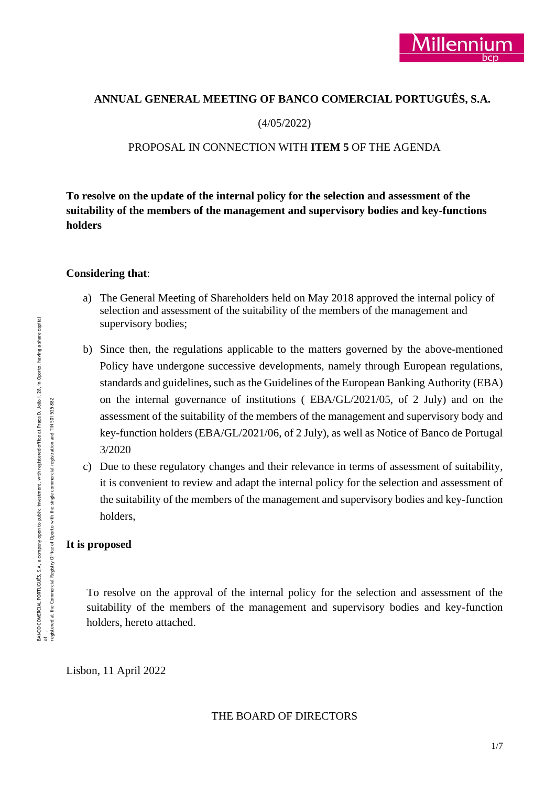## **ANNUAL GENERAL MEETING OF BANCO COMERCIAL PORTUGUÊS, S.A.**

(4/05/2022)

## PROPOSAL IN CONNECTION WITH **ITEM 5** OF THE AGENDA

**To resolve on the update of the internal policy for the selection and assessment of the suitability of the members of the management and supervisory bodies and key-functions holders**

### **Considering that**:

- a) The General Meeting of Shareholders held on May 2018 approved the internal policy of selection and assessment of the suitability of the members of the management and supervisory bodies;
- b) Since then, the regulations applicable to the matters governed by the above-mentioned Policy have undergone successive developments, namely through European regulations, standards and guidelines, such as the Guidelines of the European Banking Authority (EBA) on the internal governance of institutions ( EBA/GL/2021/05, of 2 July) and on the assessment of the suitability of the members of the management and supervisory body and key-function holders (EBA/GL/2021/06, of 2 July), as well as Notice of Banco de Portugal 3/2020
- c) Due to these regulatory changes and their relevance in terms of assessment of suitability, it is convenient to review and adapt the internal policy for the selection and assessment of the suitability of the members of the management and supervisory bodies and key-function holders,

### **It is proposed**

To resolve on the approval of the internal policy for the selection and assessment of the suitability of the members of the management and supervisory bodies and key-function holders, hereto attached.

Lisbon, 11 April 2022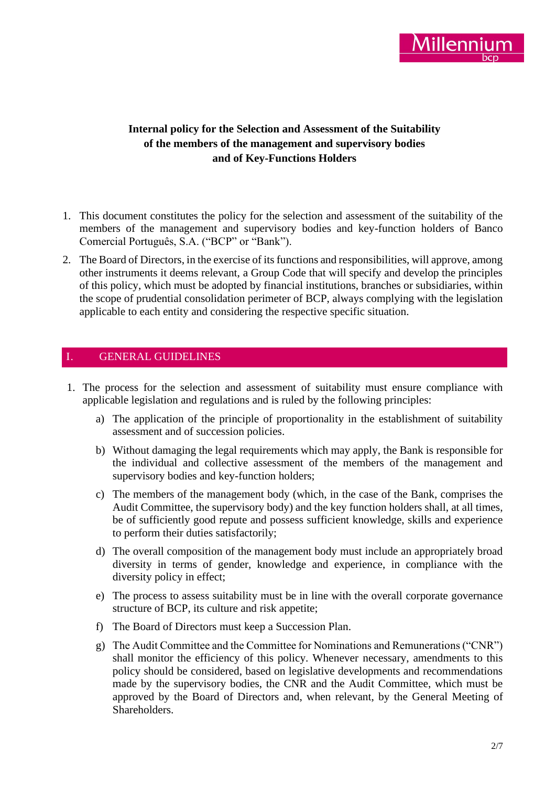

# **Internal policy for the Selection and Assessment of the Suitability of the members of the management and supervisory bodies and of Key-Functions Holders**

- 1. This document constitutes the policy for the selection and assessment of the suitability of the members of the management and supervisory bodies and key-function holders of Banco Comercial Português, S.A. ("BCP" or "Bank").
- 2. The Board of Directors, in the exercise of its functions and responsibilities, will approve, among other instruments it deems relevant, a Group Code that will specify and develop the principles of this policy, which must be adopted by financial institutions, branches or subsidiaries, within the scope of prudential consolidation perimeter of BCP, always complying with the legislation applicable to each entity and considering the respective specific situation.

## I. GENERAL GUIDELINES

- 1. The process for the selection and assessment of suitability must ensure compliance with applicable legislation and regulations and is ruled by the following principles:
	- a) The application of the principle of proportionality in the establishment of suitability assessment and of succession policies.
	- b) Without damaging the legal requirements which may apply, the Bank is responsible for the individual and collective assessment of the members of the management and supervisory bodies and key-function holders;
	- c) The members of the management body (which, in the case of the Bank, comprises the Audit Committee, the supervisory body) and the key function holders shall, at all times, be of sufficiently good repute and possess sufficient knowledge, skills and experience to perform their duties satisfactorily;
	- d) The overall composition of the management body must include an appropriately broad diversity in terms of gender, knowledge and experience, in compliance with the diversity policy in effect;
	- e) The process to assess suitability must be in line with the overall corporate governance structure of BCP, its culture and risk appetite;
	- f) The Board of Directors must keep a Succession Plan.
	- g) The Audit Committee and the Committee for Nominations and Remunerations ("CNR") shall monitor the efficiency of this policy. Whenever necessary, amendments to this policy should be considered, based on legislative developments and recommendations made by the supervisory bodies, the CNR and the Audit Committee, which must be approved by the Board of Directors and, when relevant, by the General Meeting of Shareholders.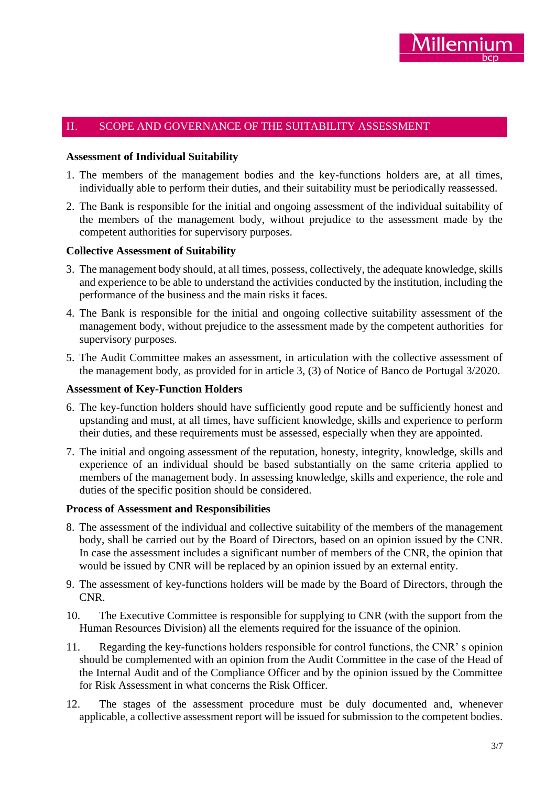## II. SCOPE AND GOVERNANCE OF THE SUITABILITY ASSESSMENT

#### **Assessment of Individual Suitability**

- 1. The members of the management bodies and the key-functions holders are, at all times, individually able to perform their duties, and their suitability must be periodically reassessed.
- 2. The Bank is responsible for the initial and ongoing assessment of the individual suitability of the members of the management body, without prejudice to the assessment made by the competent authorities for supervisory purposes.

### **Collective Assessment of Suitability**

- 3. The management body should, at all times, possess, collectively, the adequate knowledge, skills and experience to be able to understand the activities conducted by the institution, including the performance of the business and the main risks it faces.
- 4. The Bank is responsible for the initial and ongoing collective suitability assessment of the management body, without prejudice to the assessment made by the competent authorities for supervisory purposes.
- 5. The Audit Committee makes an assessment, in articulation with the collective assessment of the management body, as provided for in article 3, (3) of Notice of Banco de Portugal 3/2020.

#### **Assessment of Key-Function Holders**

- 6. The key-function holders should have sufficiently good repute and be sufficiently honest and upstanding and must, at all times, have sufficient knowledge, skills and experience to perform their duties, and these requirements must be assessed, especially when they are appointed.
- 7. The initial and ongoing assessment of the reputation, honesty, integrity, knowledge, skills and experience of an individual should be based substantially on the same criteria applied to members of the management body. In assessing knowledge, skills and experience, the role and duties of the specific position should be considered.

#### **Process of Assessment and Responsibilities**

- 8. The assessment of the individual and collective suitability of the members of the management body, shall be carried out by the Board of Directors, based on an opinion issued by the CNR. In case the assessment includes a significant number of members of the CNR, the opinion that would be issued by CNR will be replaced by an opinion issued by an external entity.
- 9. The assessment of key-functions holders will be made by the Board of Directors, through the CNR.
- 10. The Executive Committee is responsible for supplying to CNR (with the support from the Human Resources Division) all the elements required for the issuance of the opinion.
- 11. Regarding the key-functions holders responsible for control functions, the CNR' s opinion should be complemented with an opinion from the Audit Committee in the case of the Head of the Internal Audit and of the Compliance Officer and by the opinion issued by the Committee for Risk Assessment in what concerns the Risk Officer.
- 12. The stages of the assessment procedure must be duly documented and, whenever applicable, a collective assessment report will be issued for submission to the competent bodies.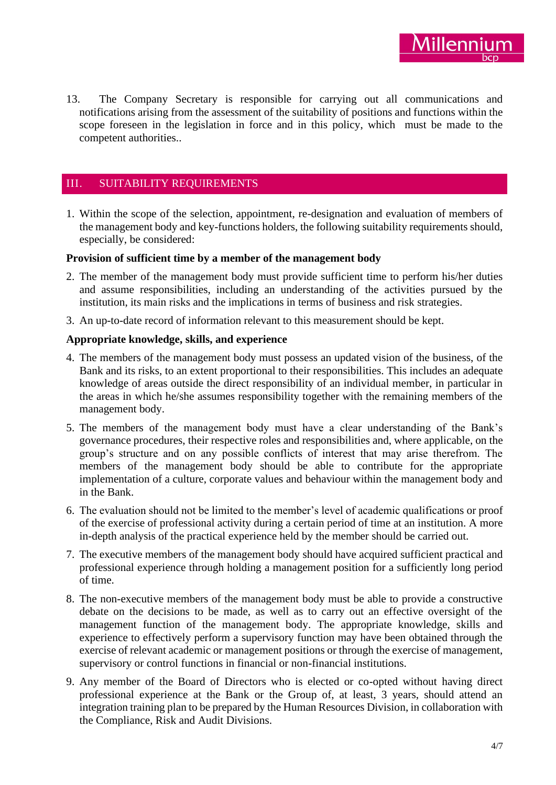13. The Company Secretary is responsible for carrying out all communications and notifications arising from the assessment of the suitability of positions and functions within the scope foreseen in the legislation in force and in this policy, which must be made to the competent authorities..

# III. SUITABILITY REQUIREMENTS

1. Within the scope of the selection, appointment, re-designation and evaluation of members of the management body and key-functions holders, the following suitability requirements should, especially, be considered:

### **Provision of sufficient time by a member of the management body**

- 2. The member of the management body must provide sufficient time to perform his/her duties and assume responsibilities, including an understanding of the activities pursued by the institution, its main risks and the implications in terms of business and risk strategies.
- 3. An up-to-date record of information relevant to this measurement should be kept.

## **Appropriate knowledge, skills, and experience**

- 4. The members of the management body must possess an updated vision of the business, of the Bank and its risks, to an extent proportional to their responsibilities. This includes an adequate knowledge of areas outside the direct responsibility of an individual member, in particular in the areas in which he/she assumes responsibility together with the remaining members of the management body.
- 5. The members of the management body must have a clear understanding of the Bank's governance procedures, their respective roles and responsibilities and, where applicable, on the group's structure and on any possible conflicts of interest that may arise therefrom. The members of the management body should be able to contribute for the appropriate implementation of a culture, corporate values and behaviour within the management body and in the Bank.
- 6. The evaluation should not be limited to the member's level of academic qualifications or proof of the exercise of professional activity during a certain period of time at an institution. A more in-depth analysis of the practical experience held by the member should be carried out.
- 7. The executive members of the management body should have acquired sufficient practical and professional experience through holding a management position for a sufficiently long period of time.
- 8. The non-executive members of the management body must be able to provide a constructive debate on the decisions to be made, as well as to carry out an effective oversight of the management function of the management body. The appropriate knowledge, skills and experience to effectively perform a supervisory function may have been obtained through the exercise of relevant academic or management positions or through the exercise of management, supervisory or control functions in financial or non-financial institutions.
- 9. Any member of the Board of Directors who is elected or co-opted without having direct professional experience at the Bank or the Group of, at least, 3 years, should attend an integration training plan to be prepared by the Human Resources Division, in collaboration with the Compliance, Risk and Audit Divisions.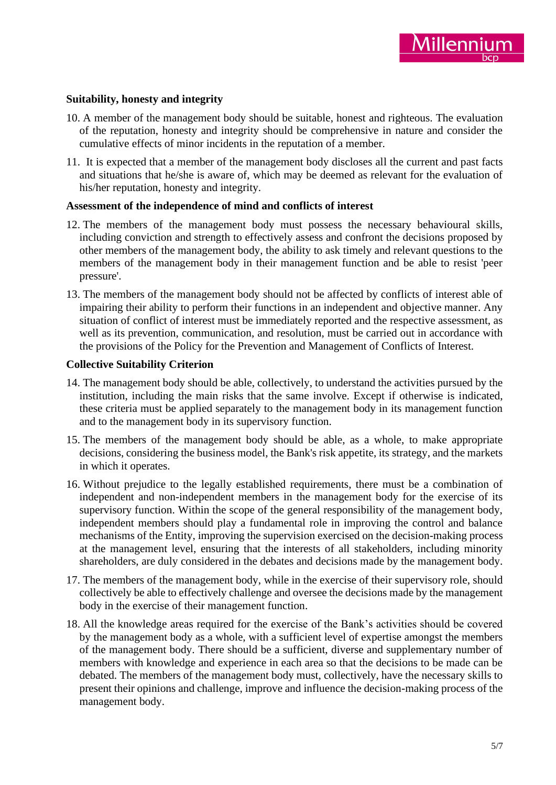## **Suitability, honesty and integrity**

- 10. A member of the management body should be suitable, honest and righteous. The evaluation of the reputation, honesty and integrity should be comprehensive in nature and consider the cumulative effects of minor incidents in the reputation of a member.
- 11. It is expected that a member of the management body discloses all the current and past facts and situations that he/she is aware of, which may be deemed as relevant for the evaluation of his/her reputation, honesty and integrity.

### **Assessment of the independence of mind and conflicts of interest**

- 12. The members of the management body must possess the necessary behavioural skills, including conviction and strength to effectively assess and confront the decisions proposed by other members of the management body, the ability to ask timely and relevant questions to the members of the management body in their management function and be able to resist 'peer pressure'.
- 13. The members of the management body should not be affected by conflicts of interest able of impairing their ability to perform their functions in an independent and objective manner. Any situation of conflict of interest must be immediately reported and the respective assessment, as well as its prevention, communication, and resolution, must be carried out in accordance with the provisions of the Policy for the Prevention and Management of Conflicts of Interest.

### **Collective Suitability Criterion**

- 14. The management body should be able, collectively, to understand the activities pursued by the institution, including the main risks that the same involve. Except if otherwise is indicated, these criteria must be applied separately to the management body in its management function and to the management body in its supervisory function.
- 15. The members of the management body should be able, as a whole, to make appropriate decisions, considering the business model, the Bank's risk appetite, its strategy, and the markets in which it operates.
- 16. Without prejudice to the legally established requirements, there must be a combination of independent and non-independent members in the management body for the exercise of its supervisory function. Within the scope of the general responsibility of the management body, independent members should play a fundamental role in improving the control and balance mechanisms of the Entity, improving the supervision exercised on the decision-making process at the management level, ensuring that the interests of all stakeholders, including minority shareholders, are duly considered in the debates and decisions made by the management body.
- 17. The members of the management body, while in the exercise of their supervisory role, should collectively be able to effectively challenge and oversee the decisions made by the management body in the exercise of their management function.
- 18. All the knowledge areas required for the exercise of the Bank's activities should be covered by the management body as a whole, with a sufficient level of expertise amongst the members of the management body. There should be a sufficient, diverse and supplementary number of members with knowledge and experience in each area so that the decisions to be made can be debated. The members of the management body must, collectively, have the necessary skills to present their opinions and challenge, improve and influence the decision-making process of the management body.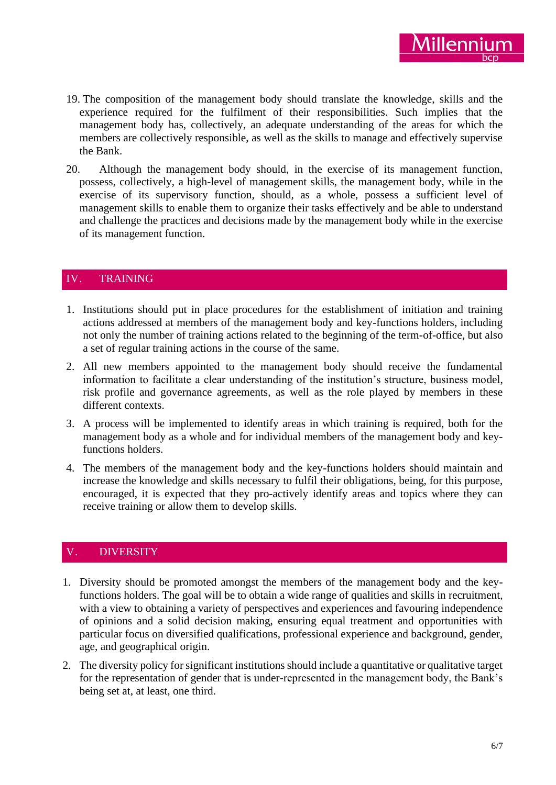- 19. The composition of the management body should translate the knowledge, skills and the experience required for the fulfilment of their responsibilities. Such implies that the management body has, collectively, an adequate understanding of the areas for which the members are collectively responsible, as well as the skills to manage and effectively supervise the Bank.
- 20. Although the management body should, in the exercise of its management function, possess, collectively, a high-level of management skills, the management body, while in the exercise of its supervisory function, should, as a whole, possess a sufficient level of management skills to enable them to organize their tasks effectively and be able to understand and challenge the practices and decisions made by the management body while in the exercise of its management function.

# IV. TRAINING

- 1. Institutions should put in place procedures for the establishment of initiation and training actions addressed at members of the management body and key-functions holders, including not only the number of training actions related to the beginning of the term-of-office, but also a set of regular training actions in the course of the same.
- 2. All new members appointed to the management body should receive the fundamental information to facilitate a clear understanding of the institution's structure, business model, risk profile and governance agreements, as well as the role played by members in these different contexts.
- 3. A process will be implemented to identify areas in which training is required, both for the management body as a whole and for individual members of the management body and keyfunctions holders.
- 4. The members of the management body and the key-functions holders should maintain and increase the knowledge and skills necessary to fulfil their obligations, being, for this purpose, encouraged, it is expected that they pro-actively identify areas and topics where they can receive training or allow them to develop skills.

# **DIVERSITY**

- 1. Diversity should be promoted amongst the members of the management body and the keyfunctions holders. The goal will be to obtain a wide range of qualities and skills in recruitment, with a view to obtaining a variety of perspectives and experiences and favouring independence of opinions and a solid decision making, ensuring equal treatment and opportunities with particular focus on diversified qualifications, professional experience and background, gender, age, and geographical origin.
- 2. The diversity policy for significant institutions should include a quantitative or qualitative target for the representation of gender that is under-represented in the management body, the Bank's being set at, at least, one third.